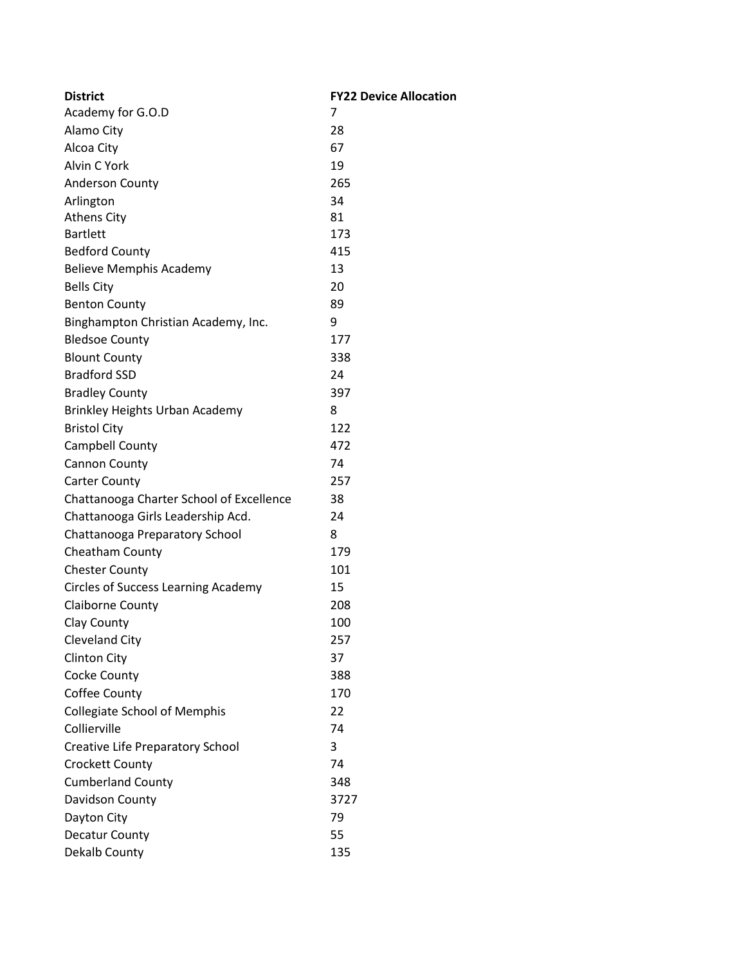| <b>District</b>                            | <b>FY22 Device Allocation</b> |
|--------------------------------------------|-------------------------------|
| Academy for G.O.D                          | 7                             |
| Alamo City                                 | 28                            |
| Alcoa City                                 | 67                            |
| Alvin C York                               | 19                            |
| <b>Anderson County</b>                     | 265                           |
| Arlington                                  | 34                            |
| <b>Athens City</b>                         | 81                            |
| <b>Bartlett</b>                            | 173                           |
| <b>Bedford County</b>                      | 415                           |
| <b>Believe Memphis Academy</b>             | 13                            |
| <b>Bells City</b>                          | 20                            |
| <b>Benton County</b>                       | 89                            |
| Binghampton Christian Academy, Inc.        | 9                             |
| <b>Bledsoe County</b>                      | 177                           |
| <b>Blount County</b>                       | 338                           |
| <b>Bradford SSD</b>                        | 24                            |
| <b>Bradley County</b>                      | 397                           |
| <b>Brinkley Heights Urban Academy</b>      | 8                             |
| <b>Bristol City</b>                        | 122                           |
| Campbell County                            | 472                           |
| <b>Cannon County</b>                       | 74                            |
| <b>Carter County</b>                       | 257                           |
| Chattanooga Charter School of Excellence   | 38                            |
| Chattanooga Girls Leadership Acd.          | 24                            |
| Chattanooga Preparatory School             | 8                             |
| <b>Cheatham County</b>                     | 179                           |
| <b>Chester County</b>                      | 101                           |
| <b>Circles of Success Learning Academy</b> | 15                            |
| <b>Claiborne County</b>                    | 208                           |
| Clay County                                | 100                           |
| <b>Cleveland City</b>                      | 257                           |
| <b>Clinton City</b>                        | 37                            |
| Cocke County                               | 388                           |
| Coffee County                              | 170                           |
| <b>Collegiate School of Memphis</b>        | 22                            |
| Collierville                               | 74                            |
| <b>Creative Life Preparatory School</b>    | 3                             |
| <b>Crockett County</b>                     | 74                            |
| <b>Cumberland County</b>                   | 348                           |
| Davidson County                            | 3727                          |
| Dayton City                                | 79                            |
| Decatur County                             | 55                            |
| Dekalb County                              | 135                           |
|                                            |                               |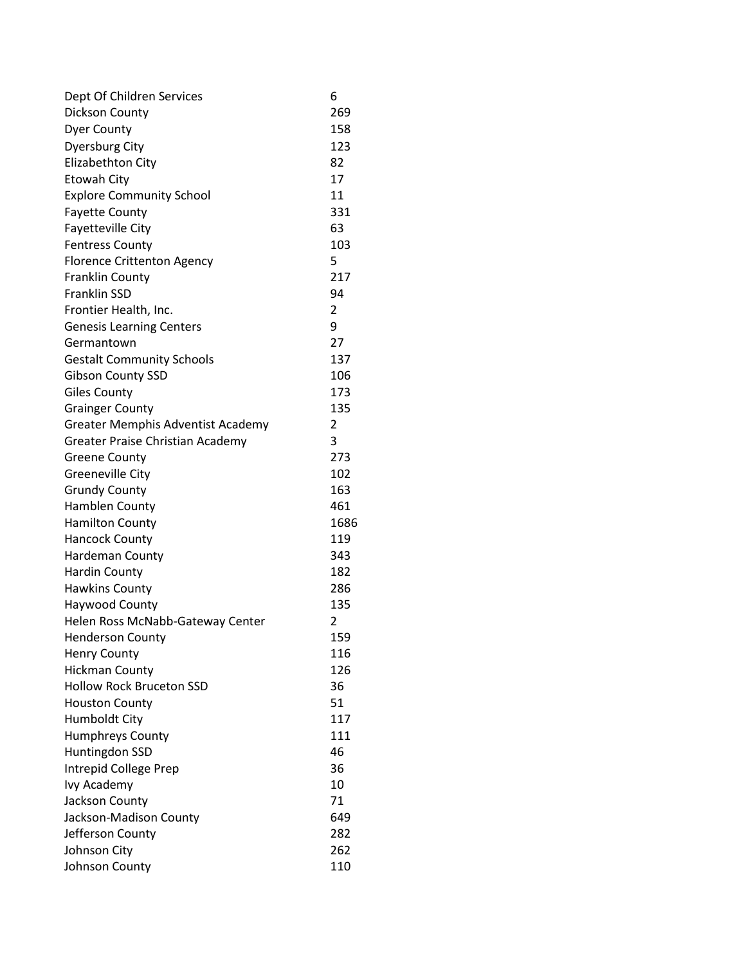| Dept Of Children Services                | 6              |
|------------------------------------------|----------------|
| Dickson County                           | 269            |
| <b>Dyer County</b>                       | 158            |
| <b>Dyersburg City</b>                    | 123            |
| Elizabethton City                        | 82             |
| Etowah City                              | 17             |
| <b>Explore Community School</b>          | 11             |
| <b>Fayette County</b>                    | 331            |
| Fayetteville City                        | 63             |
| <b>Fentress County</b>                   | 103            |
| <b>Florence Crittenton Agency</b>        | 5              |
| <b>Franklin County</b>                   | 217            |
| <b>Franklin SSD</b>                      | 94             |
| Frontier Health, Inc.                    | 2              |
| <b>Genesis Learning Centers</b>          | 9              |
| Germantown                               | 27             |
| <b>Gestalt Community Schools</b>         | 137            |
| <b>Gibson County SSD</b>                 | 106            |
| <b>Giles County</b>                      | 173            |
| <b>Grainger County</b>                   | 135            |
| <b>Greater Memphis Adventist Academy</b> | $\overline{2}$ |
| Greater Praise Christian Academy         | 3              |
| <b>Greene County</b>                     | 273            |
| Greeneville City                         | 102            |
| <b>Grundy County</b>                     | 163            |
| Hamblen County                           | 461            |
| <b>Hamilton County</b>                   | 1686           |
| <b>Hancock County</b>                    | 119            |
| Hardeman County                          | 343            |
| <b>Hardin County</b>                     | 182            |
| <b>Hawkins County</b>                    | 286            |
| Haywood County                           | 135            |
| Helen Ross McNabb-Gateway Center         | $\overline{2}$ |
| <b>Henderson County</b>                  | 159            |
| <b>Henry County</b>                      | 116            |
| <b>Hickman County</b>                    | 126            |
| <b>Hollow Rock Bruceton SSD</b>          | 36             |
| <b>Houston County</b>                    | 51             |
| <b>Humboldt City</b>                     | 117            |
| <b>Humphreys County</b>                  | 111            |
| Huntingdon SSD                           | 46             |
| Intrepid College Prep                    | 36             |
| Ivy Academy                              | 10             |
| Jackson County                           | 71             |
| Jackson-Madison County                   | 649            |
| Jefferson County                         | 282            |
| Johnson City                             | 262            |
| Johnson County                           | 110            |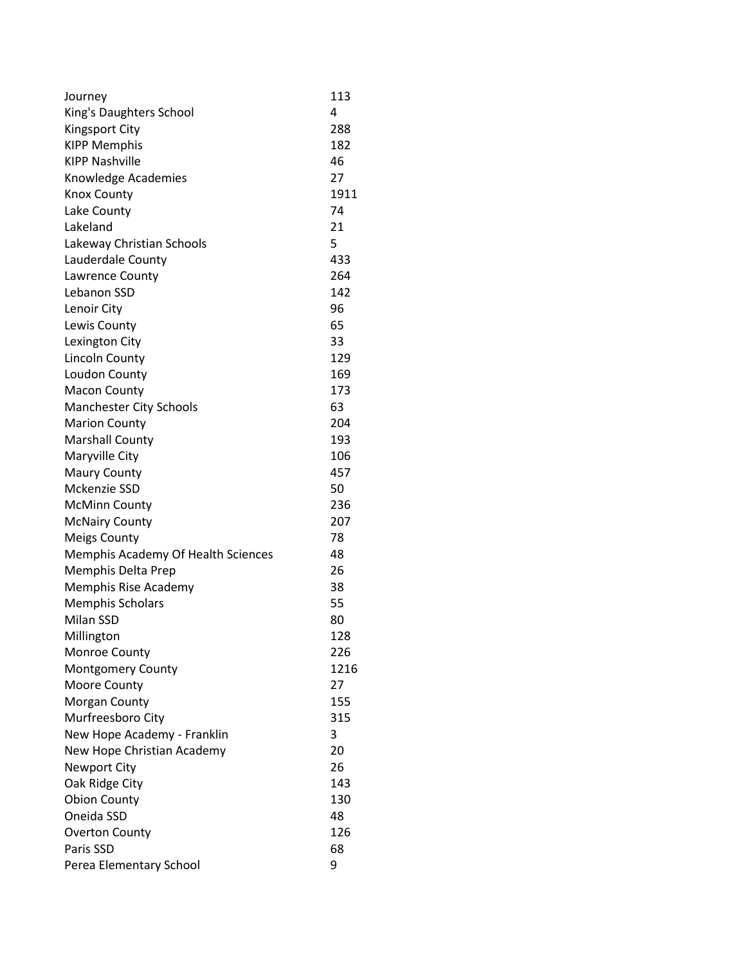| Journey                            | 113  |
|------------------------------------|------|
| King's Daughters School            | 4    |
| <b>Kingsport City</b>              | 288  |
| <b>KIPP Memphis</b>                | 182  |
| <b>KIPP Nashville</b>              | 46   |
| Knowledge Academies                | 27   |
| <b>Knox County</b>                 | 1911 |
| Lake County                        | 74   |
| Lakeland                           | 21   |
| Lakeway Christian Schools          | 5    |
| Lauderdale County                  | 433  |
| Lawrence County                    | 264  |
| Lebanon SSD                        | 142  |
| Lenoir City                        | 96   |
| Lewis County                       | 65   |
| Lexington City                     | 33   |
| Lincoln County                     | 129  |
| Loudon County                      | 169  |
| <b>Macon County</b>                | 173  |
| <b>Manchester City Schools</b>     | 63   |
| <b>Marion County</b>               | 204  |
| <b>Marshall County</b>             | 193  |
| Maryville City                     | 106  |
| <b>Maury County</b>                | 457  |
| Mckenzie SSD                       | 50   |
| <b>McMinn County</b>               | 236  |
| <b>McNairy County</b>              | 207  |
| <b>Meigs County</b>                | 78   |
| Memphis Academy Of Health Sciences | 48   |
| Memphis Delta Prep                 | 26   |
| Memphis Rise Academy               | 38   |
| <b>Memphis Scholars</b>            | 55   |
| Milan SSD                          | 80   |
| Millington                         | 128  |
| <b>Monroe County</b>               | 226  |
| <b>Montgomery County</b>           | 1216 |
| Moore County                       | 27   |
| Morgan County                      | 155  |
| Murfreesboro City                  | 315  |
| New Hope Academy - Franklin        | 3    |
| New Hope Christian Academy         | 20   |
| <b>Newport City</b>                | 26   |
| Oak Ridge City                     | 143  |
| <b>Obion County</b>                | 130  |
| Oneida SSD                         | 48   |
| <b>Overton County</b>              | 126  |
| Paris SSD                          | 68   |
| Perea Elementary School            | 9    |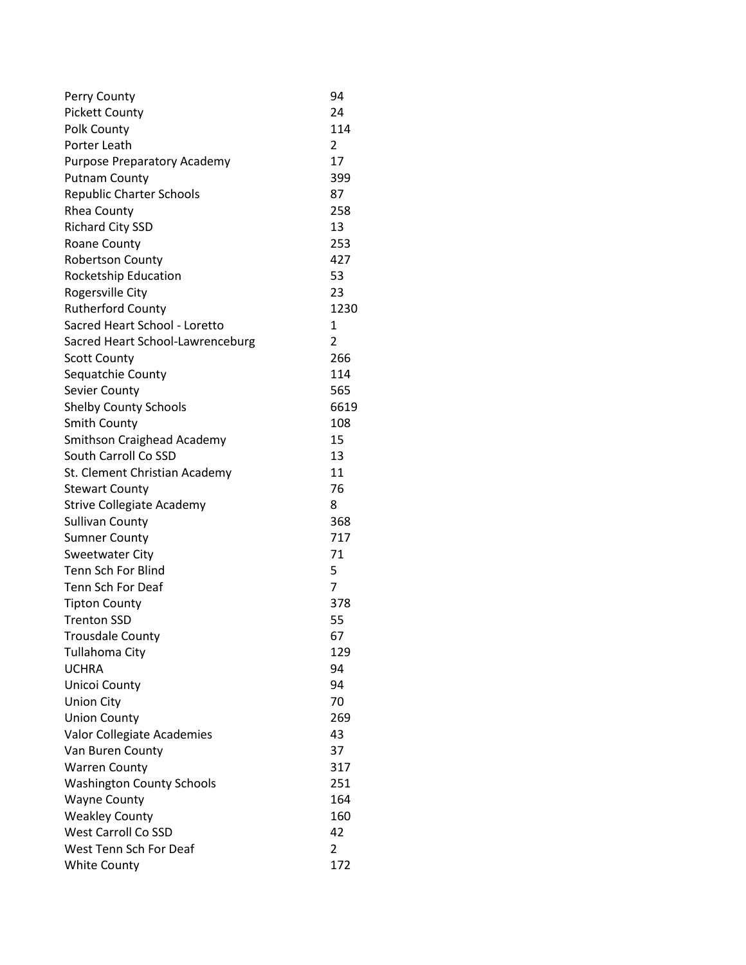| Perry County                     | 94   |
|----------------------------------|------|
| <b>Pickett County</b>            | 24   |
| Polk County                      | 114  |
| Porter Leath                     | 2    |
| Purpose Preparatory Academy      | 17   |
| <b>Putnam County</b>             | 399  |
| <b>Republic Charter Schools</b>  | 87   |
| <b>Rhea County</b>               | 258  |
| <b>Richard City SSD</b>          | 13   |
| Roane County                     | 253  |
| <b>Robertson County</b>          | 427  |
| Rocketship Education             | 53   |
| Rogersville City                 | 23   |
| <b>Rutherford County</b>         | 1230 |
| Sacred Heart School - Loretto    | 1    |
| Sacred Heart School-Lawrenceburg | 2    |
| <b>Scott County</b>              | 266  |
| Sequatchie County                | 114  |
| Sevier County                    | 565  |
| <b>Shelby County Schools</b>     | 6619 |
| <b>Smith County</b>              | 108  |
| Smithson Craighead Academy       | 15   |
| South Carroll Co SSD             | 13   |
| St. Clement Christian Academy    | 11   |
| <b>Stewart County</b>            | 76   |
| <b>Strive Collegiate Academy</b> | 8    |
| <b>Sullivan County</b>           | 368  |
| <b>Sumner County</b>             | 717  |
| <b>Sweetwater City</b>           | 71   |
| <b>Tenn Sch For Blind</b>        | 5    |
| <b>Tenn Sch For Deaf</b>         | 7    |
| <b>Tipton County</b>             | 378  |
| <b>Trenton SSD</b>               | 55   |
| <b>Trousdale County</b>          | 67   |
| Tullahoma City                   | 129  |
| <b>UCHRA</b>                     | 94   |
| Unicoi County                    | 94   |
| <b>Union City</b>                | 70   |
| <b>Union County</b>              | 269  |
| Valor Collegiate Academies       | 43   |
| Van Buren County                 | 37   |
| <b>Warren County</b>             | 317  |
| <b>Washington County Schools</b> | 251  |
| <b>Wayne County</b>              | 164  |
| <b>Weakley County</b>            | 160  |
| <b>West Carroll Co SSD</b>       | 42   |
| West Tenn Sch For Deaf           | 2    |
| <b>White County</b>              | 172  |